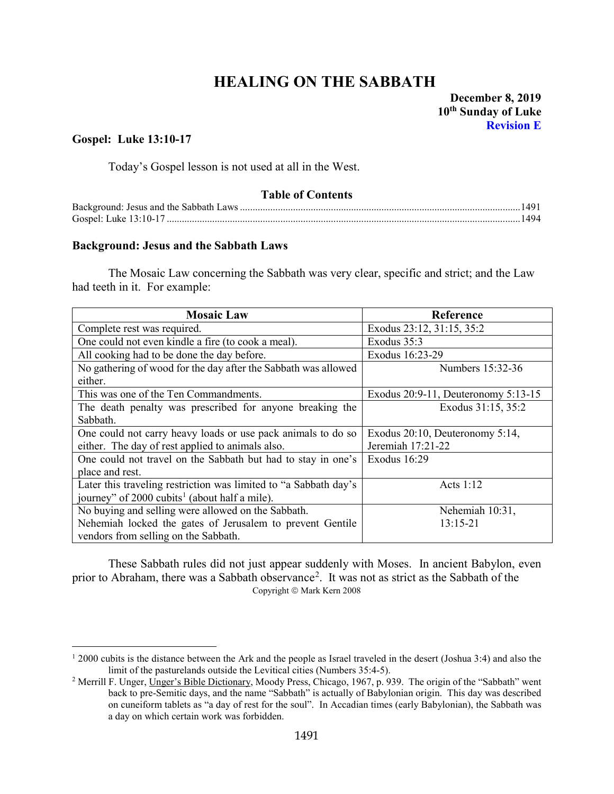# **HEALING ON THE SABBATH** December 8, 2019

## **Gospel: Luke 13:10-17**

Today's Gospel lesson is not used at all in the West.

## **Table of Contents**

| Gosnel: Luke $13:10-17$ |  |
|-------------------------|--|

#### <span id="page-0-0"></span>**Background: Jesus and the Sabbath Laws**

The Mosaic Law concerning the Sabbath was very clear, specific and strict; and the Law had teeth in it. For example:

| <b>Mosaic Law</b>                                                | Reference                           |
|------------------------------------------------------------------|-------------------------------------|
| Complete rest was required.                                      | Exodus 23:12, 31:15, 35:2           |
| One could not even kindle a fire (to cook a meal).               | Exodus 35:3                         |
| All cooking had to be done the day before.                       | Exodus 16:23-29                     |
| No gathering of wood for the day after the Sabbath was allowed   | Numbers 15:32-36                    |
| either.                                                          |                                     |
| This was one of the Ten Commandments.                            | Exodus 20:9-11, Deuteronomy 5:13-15 |
| The death penalty was prescribed for anyone breaking the         | Exodus 31:15, 35:2                  |
| Sabbath.                                                         |                                     |
| One could not carry heavy loads or use pack animals to do so     | Exodus 20:10, Deuteronomy 5:14,     |
| either. The day of rest applied to animals also.                 | Jeremiah 17:21-22                   |
| One could not travel on the Sabbath but had to stay in one's     | Exodus 16:29                        |
| place and rest.                                                  |                                     |
| Later this traveling restriction was limited to "a Sabbath day's | Acts $1:12$                         |
| journey" of 2000 cubits <sup>1</sup> (about half a mile).        |                                     |
| No buying and selling were allowed on the Sabbath.               | Nehemiah 10:31,                     |
| Nehemiah locked the gates of Jerusalem to prevent Gentile        | 13:15-21                            |
| vendors from selling on the Sabbath.                             |                                     |

These Sabbath rules did not just appear suddenly with Moses. In ancient Babylon, even prior to Abraham, there was a Sabbath observance<sup>[2](#page-0-2)</sup>. It was not as strict as the Sabbath of the Copyright  $\circ$  Mark Kern 2008

<span id="page-0-1"></span> $12000$  cubits is the distance between the Ark and the people as Israel traveled in the desert (Joshua 3:4) and also the limit of the pasturelands outside the Levitical cities (Numbers 35:4-5).

<span id="page-0-2"></span><sup>&</sup>lt;sup>2</sup> Merrill F. Unger, Unger's Bible Dictionary, Moody Press, Chicago, 1967, p. 939. The origin of the "Sabbath" went back to pre-Semitic days, and the name "Sabbath" is actually of Babylonian origin. This day was described on cuneiform tablets as "a day of rest for the soul". In Accadian times (early Babylonian), the Sabbath was a day on which certain work was forbidden.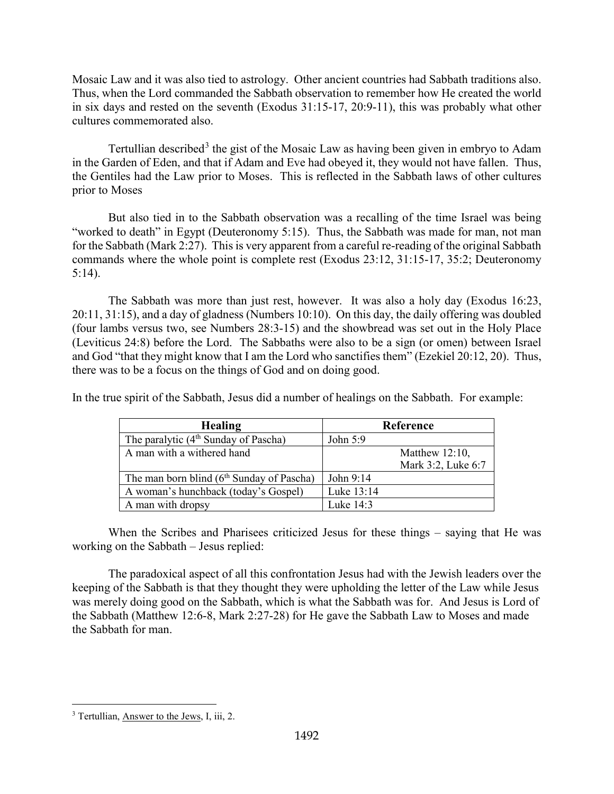Mosaic Law and it was also tied to astrology. Other ancient countries had Sabbath traditions also. Thus, when the Lord commanded the Sabbath observation to remember how He created the world in six days and rested on the seventh (Exodus 31:15-17, 20:9-11), this was probably what other cultures commemorated also.

Tertullian described<sup>[3](#page-1-0)</sup> the gist of the Mosaic Law as having been given in embryo to Adam in the Garden of Eden, and that if Adam and Eve had obeyed it, they would not have fallen. Thus, the Gentiles had the Law prior to Moses. This is reflected in the Sabbath laws of other cultures prior to Moses

But also tied in to the Sabbath observation was a recalling of the time Israel was being "worked to death" in Egypt (Deuteronomy 5:15). Thus, the Sabbath was made for man, not man for the Sabbath (Mark 2:27). This is very apparent from a careful re-reading of the original Sabbath commands where the whole point is complete rest (Exodus 23:12, 31:15-17, 35:2; Deuteronomy 5:14).

The Sabbath was more than just rest, however. It was also a holy day (Exodus 16:23, 20:11, 31:15), and a day of gladness (Numbers 10:10). On this day, the daily offering was doubled (four lambs versus two, see Numbers 28:3-15) and the showbread was set out in the Holy Place (Leviticus 24:8) before the Lord. The Sabbaths were also to be a sign (or omen) between Israel and God "that they might know that I am the Lord who sanctifies them" (Ezekiel 20:12, 20). Thus, there was to be a focus on the things of God and on doing good.

In the true spirit of the Sabbath, Jesus did a number of healings on the Sabbath. For example:

| <b>Healing</b>                              | Reference          |
|---------------------------------------------|--------------------|
| The paralytic $(4th$ Sunday of Pascha)      | John 5:9           |
| A man with a withered hand                  | Matthew $12:10$ ,  |
|                                             | Mark 3:2, Luke 6:7 |
| The man born blind $(6th$ Sunday of Pascha) | John 9:14          |
| A woman's hunchback (today's Gospel)        | Luke 13:14         |
| A man with dropsy                           | Luke 14:3          |

When the Scribes and Pharisees criticized Jesus for these things – saying that He was working on the Sabbath – Jesus replied:

The paradoxical aspect of all this confrontation Jesus had with the Jewish leaders over the keeping of the Sabbath is that they thought they were upholding the letter of the Law while Jesus was merely doing good on the Sabbath, which is what the Sabbath was for. And Jesus is Lord of the Sabbath (Matthew 12:6-8, Mark 2:27-28) for He gave the Sabbath Law to Moses and made the Sabbath for man.

<span id="page-1-0"></span><sup>&</sup>lt;sup>3</sup> Tertullian, Answer to the Jews, I, iii, 2.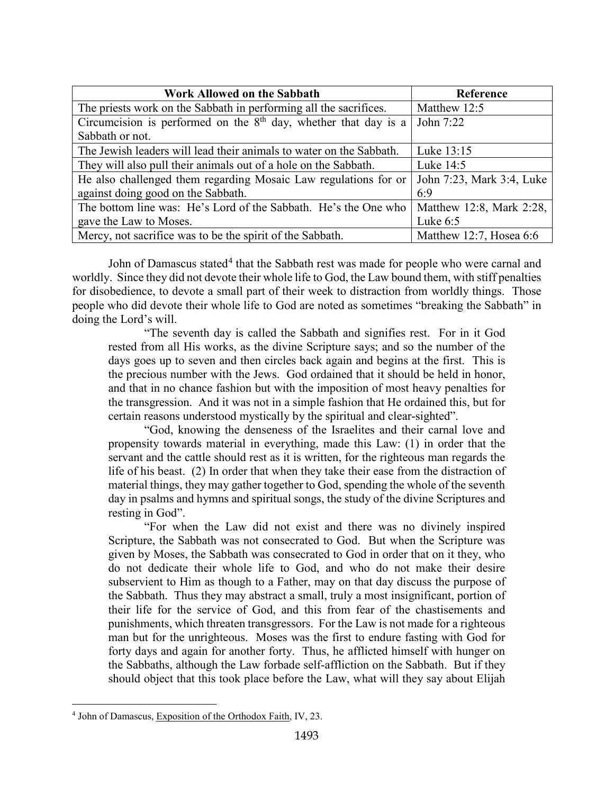| <b>Work Allowed on the Sabbath</b>                                  | Reference                 |
|---------------------------------------------------------------------|---------------------------|
| The priests work on the Sabbath in performing all the sacrifices.   | Matthew 12:5              |
| Circumcision is performed on the $8th$ day, whether that day is a   | John 7:22                 |
| Sabbath or not.                                                     |                           |
| The Jewish leaders will lead their animals to water on the Sabbath. | Luke 13:15                |
| They will also pull their animals out of a hole on the Sabbath.     | Luke 14:5                 |
| He also challenged them regarding Mosaic Law regulations for or     | John 7:23, Mark 3:4, Luke |
| against doing good on the Sabbath.                                  | 6:9                       |
| The bottom line was: He's Lord of the Sabbath. He's the One who     | Matthew 12:8, Mark 2:28,  |
| gave the Law to Moses.                                              | Luke $6:5$                |
| Mercy, not sacrifice was to be the spirit of the Sabbath.           | Matthew 12:7, Hosea 6:6   |

John of Damascus stated<sup>[4](#page-2-0)</sup> that the Sabbath rest was made for people who were carnal and worldly. Since they did not devote their whole life to God, the Law bound them, with stiff penalties for disobedience, to devote a small part of their week to distraction from worldly things. Those people who did devote their whole life to God are noted as sometimes "breaking the Sabbath" in doing the Lord's will.

"The seventh day is called the Sabbath and signifies rest. For in it God rested from all His works, as the divine Scripture says; and so the number of the days goes up to seven and then circles back again and begins at the first. This is the precious number with the Jews. God ordained that it should be held in honor, and that in no chance fashion but with the imposition of most heavy penalties for the transgression. And it was not in a simple fashion that He ordained this, but for certain reasons understood mystically by the spiritual and clear-sighted".

"God, knowing the denseness of the Israelites and their carnal love and propensity towards material in everything, made this Law: (1) in order that the servant and the cattle should rest as it is written, for the righteous man regards the life of his beast. (2) In order that when they take their ease from the distraction of material things, they may gather together to God, spending the whole of the seventh day in psalms and hymns and spiritual songs, the study of the divine Scriptures and resting in God".

"For when the Law did not exist and there was no divinely inspired Scripture, the Sabbath was not consecrated to God. But when the Scripture was given by Moses, the Sabbath was consecrated to God in order that on it they, who do not dedicate their whole life to God, and who do not make their desire subservient to Him as though to a Father, may on that day discuss the purpose of the Sabbath. Thus they may abstract a small, truly a most insignificant, portion of their life for the service of God, and this from fear of the chastisements and punishments, which threaten transgressors. For the Law is not made for a righteous man but for the unrighteous. Moses was the first to endure fasting with God for forty days and again for another forty. Thus, he afflicted himself with hunger on the Sabbaths, although the Law forbade self-affliction on the Sabbath. But if they should object that this took place before the Law, what will they say about Elijah

<span id="page-2-0"></span><sup>4</sup> John of Damascus, Exposition of the Orthodox Faith, IV, 23.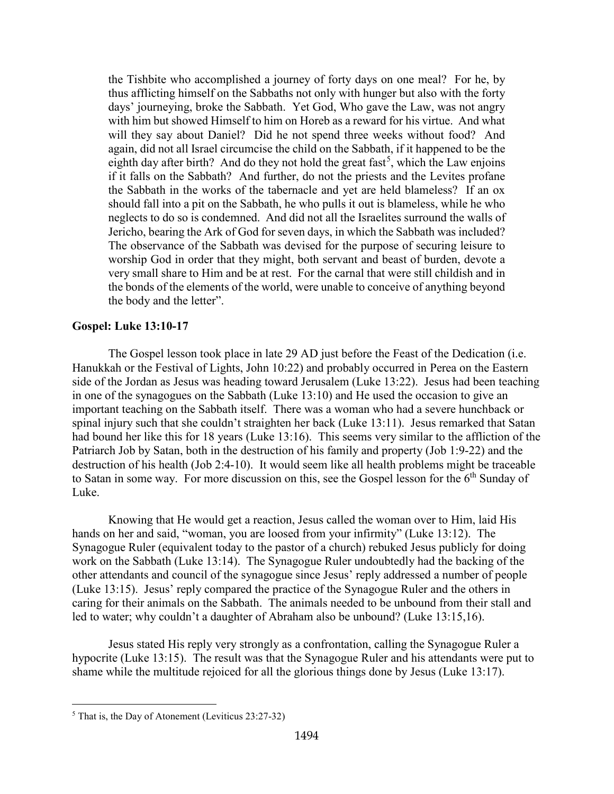the Tishbite who accomplished a journey of forty days on one meal? For he, by thus afflicting himself on the Sabbaths not only with hunger but also with the forty days' journeying, broke the Sabbath. Yet God, Who gave the Law, was not angry with him but showed Himself to him on Horeb as a reward for his virtue. And what will they say about Daniel? Did he not spend three weeks without food? And again, did not all Israel circumcise the child on the Sabbath, if it happened to be the eighth day after birth? And do they not hold the great fast<sup>[5](#page-3-1)</sup>, which the Law enjoins if it falls on the Sabbath? And further, do not the priests and the Levites profane the Sabbath in the works of the tabernacle and yet are held blameless? If an ox should fall into a pit on the Sabbath, he who pulls it out is blameless, while he who neglects to do so is condemned. And did not all the Israelites surround the walls of Jericho, bearing the Ark of God for seven days, in which the Sabbath was included? The observance of the Sabbath was devised for the purpose of securing leisure to worship God in order that they might, both servant and beast of burden, devote a very small share to Him and be at rest. For the carnal that were still childish and in the bonds of the elements of the world, were unable to conceive of anything beyond the body and the letter".

### <span id="page-3-0"></span>**Gospel: Luke 13:10-17**

The Gospel lesson took place in late 29 AD just before the Feast of the Dedication (i.e. Hanukkah or the Festival of Lights, John 10:22) and probably occurred in Perea on the Eastern side of the Jordan as Jesus was heading toward Jerusalem (Luke 13:22). Jesus had been teaching in one of the synagogues on the Sabbath (Luke 13:10) and He used the occasion to give an important teaching on the Sabbath itself. There was a woman who had a severe hunchback or spinal injury such that she couldn't straighten her back (Luke 13:11). Jesus remarked that Satan had bound her like this for 18 years (Luke 13:16). This seems very similar to the affliction of the Patriarch Job by Satan, both in the destruction of his family and property (Job 1:9-22) and the destruction of his health (Job 2:4-10). It would seem like all health problems might be traceable to Satan in some way. For more discussion on this, see the Gospel lesson for the 6<sup>th</sup> Sunday of Luke.

Knowing that He would get a reaction, Jesus called the woman over to Him, laid His hands on her and said, "woman, you are loosed from your infirmity" (Luke 13:12). The Synagogue Ruler (equivalent today to the pastor of a church) rebuked Jesus publicly for doing work on the Sabbath (Luke 13:14). The Synagogue Ruler undoubtedly had the backing of the other attendants and council of the synagogue since Jesus' reply addressed a number of people (Luke 13:15). Jesus' reply compared the practice of the Synagogue Ruler and the others in caring for their animals on the Sabbath. The animals needed to be unbound from their stall and led to water; why couldn't a daughter of Abraham also be unbound? (Luke 13:15,16).

Jesus stated His reply very strongly as a confrontation, calling the Synagogue Ruler a hypocrite (Luke 13:15). The result was that the Synagogue Ruler and his attendants were put to shame while the multitude rejoiced for all the glorious things done by Jesus (Luke 13:17).

<span id="page-3-1"></span><sup>5</sup> That is, the Day of Atonement (Leviticus 23:27-32)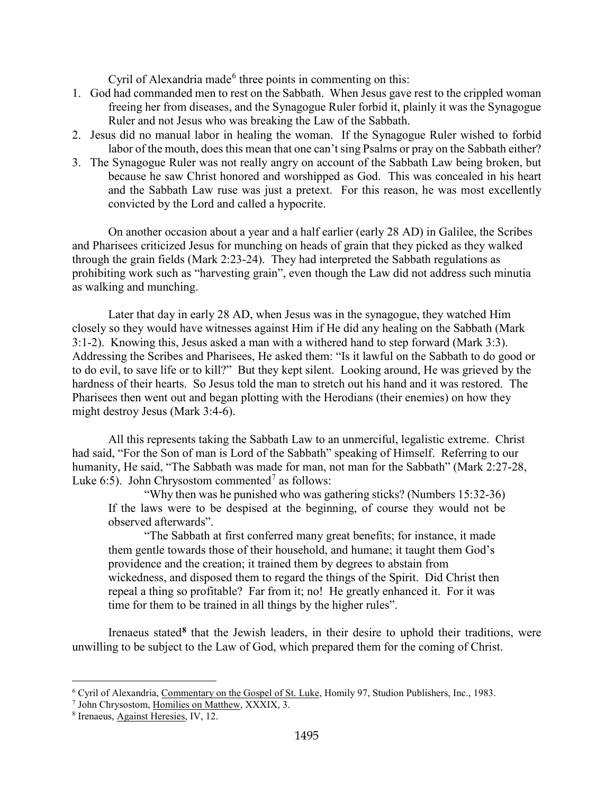Cyril of Alexandria made<sup>[6](#page-4-0)</sup> three points in commenting on this:

- 1. God had commanded men to rest on the Sabbath. When Jesus gave rest to the crippled woman freeing her from diseases, and the Synagogue Ruler forbid it, plainly it was the Synagogue Ruler and not Jesus who was breaking the Law of the Sabbath.
- 2. Jesus did no manual labor in healing the woman. If the Synagogue Ruler wished to forbid labor of the mouth, does this mean that one can't sing Psalms or pray on the Sabbath either?
- 3. The Synagogue Ruler was not really angry on account of the Sabbath Law being broken, but because he saw Christ honored and worshipped as God. This was concealed in his heart and the Sabbath Law ruse was just a pretext. For this reason, he was most excellently convicted by the Lord and called a hypocrite.

On another occasion about a year and a half earlier (early 28 AD) in Galilee, the Scribes and Pharisees criticized Jesus for munching on heads of grain that they picked as they walked through the grain fields (Mark 2:23-24). They had interpreted the Sabbath regulations as prohibiting work such as "harvesting grain", even though the Law did not address such minutia as walking and munching.

Later that day in early 28 AD, when Jesus was in the synagogue, they watched Him closely so they would have witnesses against Him if He did any healing on the Sabbath (Mark 3:1-2). Knowing this, Jesus asked a man with a withered hand to step forward (Mark 3:3). Addressing the Scribes and Pharisees, He asked them: "Is it lawful on the Sabbath to do good or to do evil, to save life or to kill?" But they kept silent. Looking around, He was grieved by the hardness of their hearts. So Jesus told the man to stretch out his hand and it was restored. The Pharisees then went out and began plotting with the Herodians (their enemies) on how they might destroy Jesus (Mark 3:4-6).

All this represents taking the Sabbath Law to an unmerciful, legalistic extreme. Christ had said, "For the Son of man is Lord of the Sabbath" speaking of Himself. Referring to our humanity, He said, "The Sabbath was made for man, not man for the Sabbath" (Mark 2:27-28, Luke 6:5). John Chrysostom commented<sup>[7](#page-4-1)</sup> as follows:

"Why then was he punished who was gathering sticks? (Numbers 15:32-36) If the laws were to be despised at the beginning, of course they would not be observed afterwards".

"The Sabbath at first conferred many great benefits; for instance, it made them gentle towards those of their household, and humane; it taught them God's providence and the creation; it trained them by degrees to abstain from wickedness, and disposed them to regard the things of the Spirit. Did Christ then repeal a thing so profitable? Far from it; no! He greatly enhanced it. For it was time for them to be trained in all things by the higher rules".

Irenaeus stated**[8](#page-4-2)** that the Jewish leaders, in their desire to uphold their traditions, were unwilling to be subject to the Law of God, which prepared them for the coming of Christ.

<span id="page-4-0"></span><sup>6</sup> Cyril of Alexandria, Commentary on the Gospel of St. Luke, Homily 97, Studion Publishers, Inc., 1983.

<span id="page-4-1"></span><sup>7</sup> John Chrysostom, Homilies on Matthew, XXXIX, 3.

<span id="page-4-2"></span><sup>8</sup> Irenaeus, Against Heresies, IV, 12.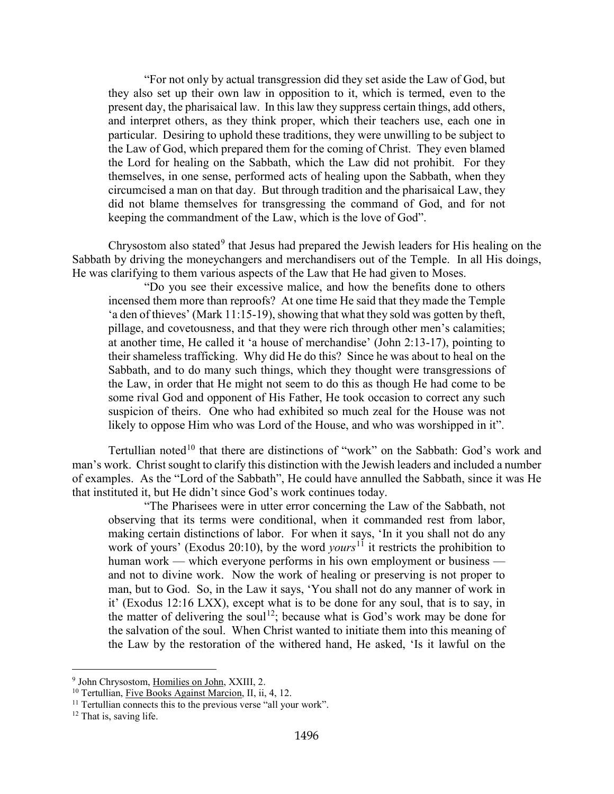"For not only by actual transgression did they set aside the Law of God, but they also set up their own law in opposition to it, which is termed, even to the present day, the pharisaical law. In this law they suppress certain things, add others, and interpret others, as they think proper, which their teachers use, each one in particular. Desiring to uphold these traditions, they were unwilling to be subject to the Law of God, which prepared them for the coming of Christ. They even blamed the Lord for healing on the Sabbath, which the Law did not prohibit. For they themselves, in one sense, performed acts of healing upon the Sabbath, when they circumcised a man on that day. But through tradition and the pharisaical Law, they did not blame themselves for transgressing the command of God, and for not keeping the commandment of the Law, which is the love of God".

Chrysostom also stated<sup>[9](#page-5-0)</sup> that Jesus had prepared the Jewish leaders for His healing on the Sabbath by driving the moneychangers and merchandisers out of the Temple. In all His doings, He was clarifying to them various aspects of the Law that He had given to Moses.

"Do you see their excessive malice, and how the benefits done to others incensed them more than reproofs? At one time He said that they made the Temple 'a den of thieves' (Mark 11:15-19), showing that what they sold was gotten by theft, pillage, and covetousness, and that they were rich through other men's calamities; at another time, He called it 'a house of merchandise' (John 2:13-17), pointing to their shameless trafficking. Why did He do this? Since he was about to heal on the Sabbath, and to do many such things, which they thought were transgressions of the Law, in order that He might not seem to do this as though He had come to be some rival God and opponent of His Father, He took occasion to correct any such suspicion of theirs. One who had exhibited so much zeal for the House was not likely to oppose Him who was Lord of the House, and who was worshipped in it".

Tertullian noted<sup>[10](#page-5-1)</sup> that there are distinctions of "work" on the Sabbath: God's work and man's work. Christ sought to clarify this distinction with the Jewish leaders and included a number of examples. As the "Lord of the Sabbath", He could have annulled the Sabbath, since it was He that instituted it, but He didn't since God's work continues today.

"The Pharisees were in utter error concerning the Law of the Sabbath, not observing that its terms were conditional, when it commanded rest from labor, making certain distinctions of labor. For when it says, 'In it you shall not do any work of yours' (Exodus 20:10), by the word *yours*<sup>[11](#page-5-2)</sup> it restricts the prohibition to human work — which everyone performs in his own employment or business and not to divine work. Now the work of healing or preserving is not proper to man, but to God. So, in the Law it says, 'You shall not do any manner of work in it' (Exodus 12:16 LXX), except what is to be done for any soul, that is to say, in the matter of delivering the soul<sup>[12](#page-5-3)</sup>; because what is God's work may be done for the salvation of the soul. When Christ wanted to initiate them into this meaning of the Law by the restoration of the withered hand, He asked, 'Is it lawful on the

<span id="page-5-0"></span><sup>9</sup> John Chrysostom, Homilies on John, XXIII, 2.

<span id="page-5-1"></span><sup>&</sup>lt;sup>10</sup> Tertullian, Five Books Against Marcion, II, ii, 4, 12.

<span id="page-5-2"></span> $11$  Tertullian connects this to the previous verse "all your work".

<span id="page-5-3"></span><sup>&</sup>lt;sup>12</sup> That is, saving life.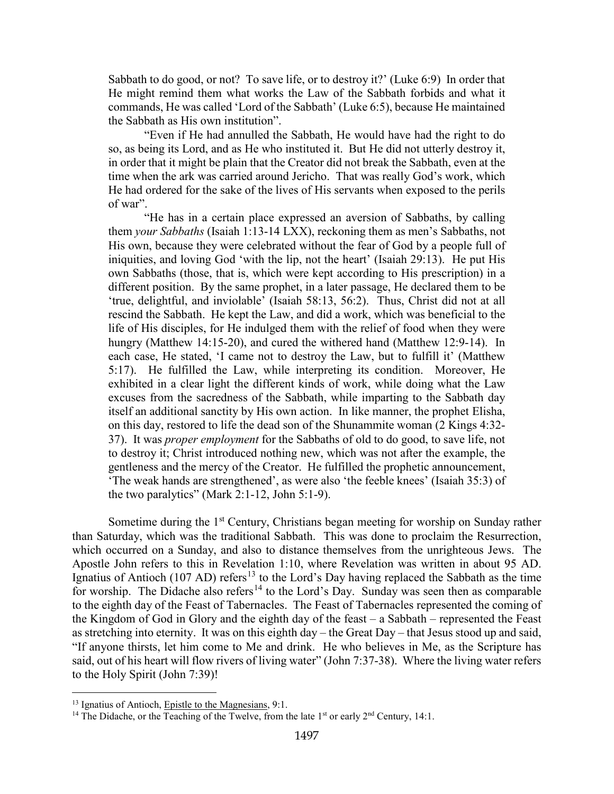Sabbath to do good, or not? To save life, or to destroy it?' (Luke 6:9) In order that He might remind them what works the Law of the Sabbath forbids and what it commands, He was called 'Lord of the Sabbath' (Luke 6:5), because He maintained the Sabbath as His own institution".

"Even if He had annulled the Sabbath, He would have had the right to do so, as being its Lord, and as He who instituted it. But He did not utterly destroy it, in order that it might be plain that the Creator did not break the Sabbath, even at the time when the ark was carried around Jericho. That was really God's work, which He had ordered for the sake of the lives of His servants when exposed to the perils of war".

"He has in a certain place expressed an aversion of Sabbaths, by calling them *your Sabbaths* (Isaiah 1:13-14 LXX), reckoning them as men's Sabbaths, not His own, because they were celebrated without the fear of God by a people full of iniquities, and loving God 'with the lip, not the heart' (Isaiah 29:13). He put His own Sabbaths (those, that is, which were kept according to His prescription) in a different position. By the same prophet, in a later passage, He declared them to be 'true, delightful, and inviolable' (Isaiah 58:13, 56:2). Thus, Christ did not at all rescind the Sabbath. He kept the Law, and did a work, which was beneficial to the life of His disciples, for He indulged them with the relief of food when they were hungry (Matthew 14:15-20), and cured the withered hand (Matthew 12:9-14). In each case, He stated, 'I came not to destroy the Law, but to fulfill it' (Matthew 5:17). He fulfilled the Law, while interpreting its condition. Moreover, He exhibited in a clear light the different kinds of work, while doing what the Law excuses from the sacredness of the Sabbath, while imparting to the Sabbath day itself an additional sanctity by His own action. In like manner, the prophet Elisha, on this day, restored to life the dead son of the Shunammite woman (2 Kings 4:32- 37). It was *proper employment* for the Sabbaths of old to do good, to save life, not to destroy it; Christ introduced nothing new, which was not after the example, the gentleness and the mercy of the Creator. He fulfilled the prophetic announcement, 'The weak hands are strengthened', as were also 'the feeble knees' (Isaiah 35:3) of the two paralytics" (Mark  $2:1-12$ , John  $5:1-9$ ).

Sometime during the  $1<sup>st</sup>$  Century, Christians began meeting for worship on Sunday rather than Saturday, which was the traditional Sabbath. This was done to proclaim the Resurrection, which occurred on a Sunday, and also to distance themselves from the unrighteous Jews. The Apostle John refers to this in Revelation 1:10, where Revelation was written in about 95 AD. Ignatius of Antioch (107 AD) refers<sup>[13](#page-6-0)</sup> to the Lord's Day having replaced the Sabbath as the time for worship. The Didache also refers<sup>[14](#page-6-1)</sup> to the Lord's Day. Sunday was seen then as comparable to the eighth day of the Feast of Tabernacles. The Feast of Tabernacles represented the coming of the Kingdom of God in Glory and the eighth day of the feast – a Sabbath – represented the Feast as stretching into eternity. It was on this eighth day – the Great Day – that Jesus stood up and said, "If anyone thirsts, let him come to Me and drink. He who believes in Me, as the Scripture has said, out of his heart will flow rivers of living water" (John 7:37-38). Where the living water refers to the Holy Spirit (John 7:39)!

<span id="page-6-0"></span><sup>&</sup>lt;sup>13</sup> Ignatius of Antioch, Epistle to the Magnesians, 9:1.

<span id="page-6-1"></span><sup>&</sup>lt;sup>14</sup> The Didache, or the Teaching of the Twelve, from the late  $1<sup>st</sup>$  or early  $2<sup>nd</sup>$  Century, 14:1.